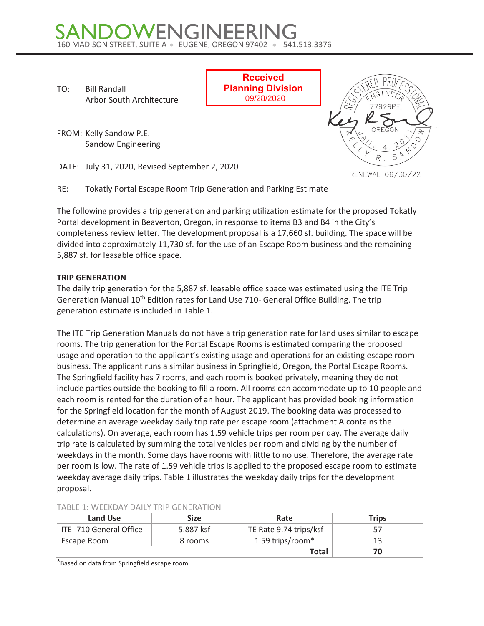# SANDOWENGINEERING<br>160 MADISON STREET, SUITE A . EUGENE, OREGON 97402 . 541.513.3376

TO: Bill Randall Arbor South Architecture

FROM: Kelly Sandow P.E. Sandow Engineering

DATE: July 31, 2020, Revised September 2, 2020

RE: Tokatly Portal Escape Room Trip Generation and Parking Estimate

The following provides a trip generation and parking utilization estimate for the proposed Tokatly Portal development in Beaverton, Oregon, in response to items B3 and B4 in the City's completeness review letter. The development proposal is a 17,660 sf. building. The space will be divided into approximately 11,730 sf. for the use of an Escape Room business and the remaining 5,887 sf. for leasable office space.

**Received Planning Division** 09/28/2020

## **TRIP GENERATION**

The daily trip generation for the 5,887 sf. leasable office space was estimated using the ITE Trip Generation Manual 10<sup>th</sup> Edition rates for Land Use 710- General Office Building. The trip generation estimate is included in Table 1.

The ITE Trip Generation Manuals do not have a trip generation rate for land uses similar to escape rooms. The trip generation for the Portal Escape Rooms is estimated comparing the proposed usage and operation to the applicant's existing usage and operations for an existing escape room business. The applicant runs a similar business in Springfield, Oregon, the Portal Escape Rooms. The Springfield facility has 7 rooms, and each room is booked privately, meaning they do not include parties outside the booking to fill a room. All rooms can accommodate up to 10 people and each room is rented for the duration of an hour. The applicant has provided booking information for the Springfield location for the month of August 2019. The booking data was processed to determine an average weekday daily trip rate per escape room (attachment A contains the calculations). On average, each room has 1.59 vehicle trips per room per day. The average daily trip rate is calculated by summing the total vehicles per room and dividing by the number of weekdays in the month. Some days have rooms with little to no use. Therefore, the average rate per room is low. The rate of 1.59 vehicle trips is applied to the proposed escape room to estimate weekday average daily trips. Table 1 illustrates the weekday daily trips for the development proposal.

| ADLL J. WELNDAT DAILT INIF GENERATION<br>Land Use | <b>Size</b> | Rate                    | <b>Trips</b> |
|---------------------------------------------------|-------------|-------------------------|--------------|
| ITE-710 General Office                            | 5.887 ksf   | ITE Rate 9.74 trips/ksf | 57           |
| Escape Room                                       | 8 rooms     | 1.59 trips/room*        | 13           |
|                                                   |             | <b>Total</b>            | 70           |

#### TABLE 1: WEEKDAY DAILY TRIP GENERATION

\*Based on data from Springfield escape room

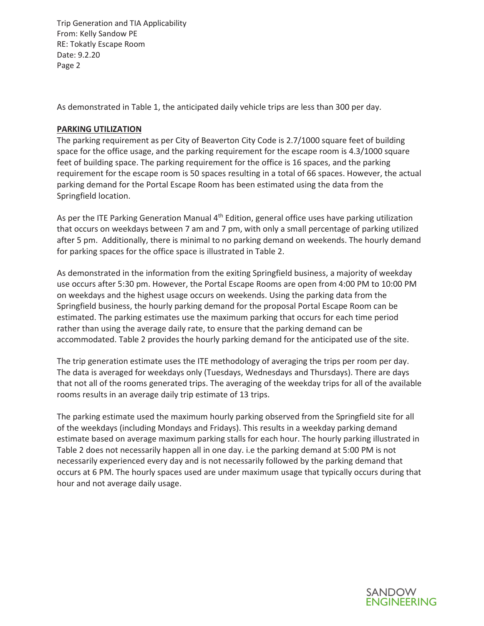Trip Generation and TIA Applicability From: Kelly Sandow PE RE: Tokatly Escape Room Date: 9.2.20 Page 2

As demonstrated in Table 1, the anticipated daily vehicle trips are less than 300 per day.

### **PARKING UTILIZATION**

The parking requirement as per City of Beaverton City Code is 2.7/1000 square feet of building space for the office usage, and the parking requirement for the escape room is 4.3/1000 square feet of building space. The parking requirement for the office is 16 spaces, and the parking requirement for the escape room is 50 spaces resulting in a total of 66 spaces. However, the actual parking demand for the Portal Escape Room has been estimated using the data from the Springfield location.

As per the ITE Parking Generation Manual 4<sup>th</sup> Edition, general office uses have parking utilization that occurs on weekdays between 7 am and 7 pm, with only a small percentage of parking utilized after 5 pm. Additionally, there is minimal to no parking demand on weekends. The hourly demand for parking spaces for the office space is illustrated in Table 2.

As demonstrated in the information from the exiting Springfield business, a majority of weekday use occurs after 5:30 pm. However, the Portal Escape Rooms are open from 4:00 PM to 10:00 PM on weekdays and the highest usage occurs on weekends. Using the parking data from the Springfield business, the hourly parking demand for the proposal Portal Escape Room can be estimated. The parking estimates use the maximum parking that occurs for each time period rather than using the average daily rate, to ensure that the parking demand can be accommodated. Table 2 provides the hourly parking demand for the anticipated use of the site.

The trip generation estimate uses the ITE methodology of averaging the trips per room per day. The data is averaged for weekdays only (Tuesdays, Wednesdays and Thursdays). There are days that not all of the rooms generated trips. The averaging of the weekday trips for all of the available rooms results in an average daily trip estimate of 13 trips.

The parking estimate used the maximum hourly parking observed from the Springfield site for all of the weekdays (including Mondays and Fridays). This results in a weekday parking demand estimate based on average maximum parking stalls for each hour. The hourly parking illustrated in Table 2 does not necessarily happen all in one day. i.e the parking demand at 5:00 PM is not necessarily experienced every day and is not necessarily followed by the parking demand that occurs at 6 PM. The hourly spaces used are under maximum usage that typically occurs during that hour and not average daily usage.